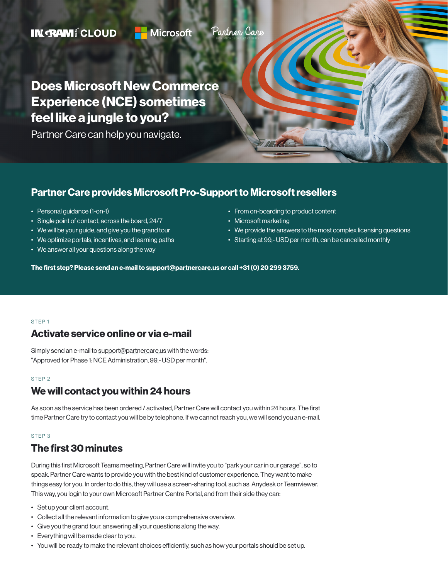#### Partner Care **IN RAMI CLOUD Microsoft** FOR MICROSOFT PARTNERS

Does Microsoft New Commerce Experience (NCE) sometimes feel like a jungle to you?

Partner Care can help you navigate.

### Partner Care provides Microsoft Pro-Support to Microsoft resellers

- Personal guidance (1-on-1)
- Single point of contact, across the board, 24/7
- We will be your guide, and give you the grand tour
- We optimize portals, incentives, and learning paths
- We answer all your questions along the way
- From on-boarding to product content
- Microsoft marketing
- We provide the answers to the most complex licensing questions
- Starting at 99,- USD per month, can be cancelled monthly

The first step? Please send an e-mail to support@partnercare.us or call +31 (0) 20 299 3759.

#### STEP 1

### Activate service online or via e-mail

Simply send an e-mail to [support@partnercare.us](mailto:support@partnercare.us) with the words: "Approved for Phase 1: NCE Administration, 99,- USD per month".

#### STEP 2

# We will contact you within 24 hours

As soon as the service has been ordered / activated, Partner Care will contact you within 24 hours. The first time Partner Care try to contact you will be by telephone. If we cannot reach you, we will send you an e-mail.

#### STEP 3

### The first 30 minutes

During this first Microsoft Teams meeting, Partner Care will invite you to "park your car in our garage", so to speak. Partner Care wants to provide you with the best kind of customer experience. They want to make things easy for you. In order to do this, they will use a screen-sharing tool, such as Anydesk or Teamviewer. This way, you login to your own Microsoft Partner Centre Portal, and from their side they can:

- Set up your client account.
- Collect all the relevant information to give you a comprehensive overview.
- Give you the grand tour, answering all your questions along the way.
- Everything will be made clear to you.
- You will be ready to make the relevant choices efficiently, such as how your portals should be set up.